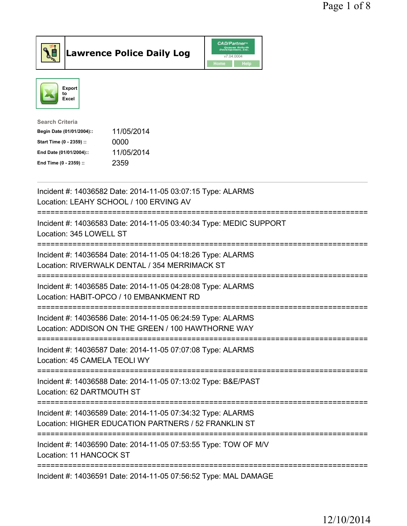



| <b>Search Criteria</b>    |            |
|---------------------------|------------|
| Begin Date (01/01/2004):: | 11/05/2014 |
| Start Time (0 - 2359) ::  | 0000       |
| End Date (01/01/2004)::   | 11/05/2014 |
| End Time (0 - 2359) ::    | 2359       |
|                           |            |

| Incident #: 14036582 Date: 2014-11-05 03:07:15 Type: ALARMS<br>Location: LEAHY SCHOOL / 100 ERVING AV                                                        |
|--------------------------------------------------------------------------------------------------------------------------------------------------------------|
| Incident #: 14036583 Date: 2014-11-05 03:40:34 Type: MEDIC SUPPORT<br>Location: 345 LOWELL ST                                                                |
| Incident #: 14036584 Date: 2014-11-05 04:18:26 Type: ALARMS<br>Location: RIVERWALK DENTAL / 354 MERRIMACK ST<br>============<br>---------------------------- |
| Incident #: 14036585 Date: 2014-11-05 04:28:08 Type: ALARMS<br>Location: HABIT-OPCO / 10 EMBANKMENT RD<br>==========================                         |
| Incident #: 14036586 Date: 2014-11-05 06:24:59 Type: ALARMS<br>Location: ADDISON ON THE GREEN / 100 HAWTHORNE WAY                                            |
| Incident #: 14036587 Date: 2014-11-05 07:07:08 Type: ALARMS<br>Location: 45 CAMELA TEOLI WY<br>======================                                        |
| Incident #: 14036588 Date: 2014-11-05 07:13:02 Type: B&E/PAST<br>Location: 62 DARTMOUTH ST                                                                   |
| Incident #: 14036589 Date: 2014-11-05 07:34:32 Type: ALARMS<br>Location: HIGHER EDUCATION PARTNERS / 52 FRANKLIN ST                                          |
| Incident #: 14036590 Date: 2014-11-05 07:53:55 Type: TOW OF M/V<br>Location: 11 HANCOCK ST                                                                   |
| Incident #: 14036591 Date: 2014-11-05 07:56:52 Type: MAL DAMAGE                                                                                              |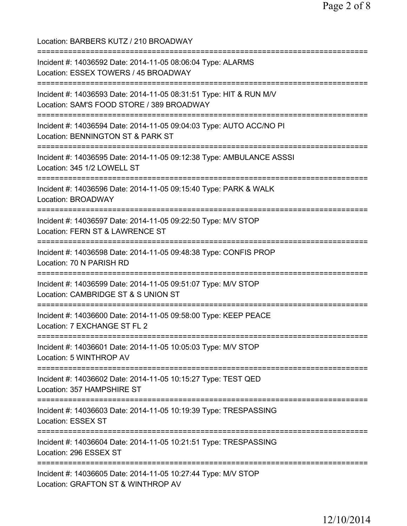Location: BARBERS KUTZ / 210 BROADWAY =========================================================================== Incident #: 14036592 Date: 2014-11-05 08:06:04 Type: ALARMS Location: ESSEX TOWERS / 45 BROADWAY =========================================================================== Incident #: 14036593 Date: 2014-11-05 08:31:51 Type: HIT & RUN M/V Location: SAM'S FOOD STORE / 389 BROADWAY =========================================================================== Incident #: 14036594 Date: 2014-11-05 09:04:03 Type: AUTO ACC/NO PI Location: BENNINGTON ST & PARK ST =========================================================================== Incident #: 14036595 Date: 2014-11-05 09:12:38 Type: AMBULANCE ASSSI Location: 345 1/2 LOWELL ST =========================================================================== Incident #: 14036596 Date: 2014-11-05 09:15:40 Type: PARK & WALK Location: BROADWAY =========================================================================== Incident #: 14036597 Date: 2014-11-05 09:22:50 Type: M/V STOP Location: FERN ST & LAWRENCE ST =========================================================================== Incident #: 14036598 Date: 2014-11-05 09:48:38 Type: CONFIS PROP Location: 70 N PARISH RD =========================================================================== Incident #: 14036599 Date: 2014-11-05 09:51:07 Type: M/V STOP Location: CAMBRIDGE ST & S UNION ST =========================================================================== Incident #: 14036600 Date: 2014-11-05 09:58:00 Type: KEEP PEACE Location: 7 EXCHANGE ST FL 2 =========================================================================== Incident #: 14036601 Date: 2014-11-05 10:05:03 Type: M/V STOP Location: 5 WINTHROP AV =========================================================================== Incident #: 14036602 Date: 2014-11-05 10:15:27 Type: TEST QED Location: 357 HAMPSHIRE ST =========================================================================== Incident #: 14036603 Date: 2014-11-05 10:19:39 Type: TRESPASSING Location: ESSEX ST =========================================================================== Incident #: 14036604 Date: 2014-11-05 10:21:51 Type: TRESPASSING Location: 296 ESSEX ST =========================================================================== Incident #: 14036605 Date: 2014-11-05 10:27:44 Type: M/V STOP Location: GRAFTON ST & WINTHROP AV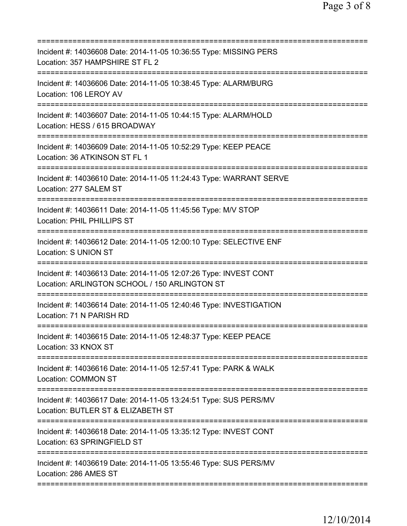| ==========================                                                                                                         |
|------------------------------------------------------------------------------------------------------------------------------------|
| Incident #: 14036608 Date: 2014-11-05 10:36:55 Type: MISSING PERS<br>Location: 357 HAMPSHIRE ST FL 2                               |
| Incident #: 14036606 Date: 2014-11-05 10:38:45 Type: ALARM/BURG<br>Location: 106 LEROY AV                                          |
| Incident #: 14036607 Date: 2014-11-05 10:44:15 Type: ALARM/HOLD<br>Location: HESS / 615 BROADWAY                                   |
| Incident #: 14036609 Date: 2014-11-05 10:52:29 Type: KEEP PEACE<br>Location: 36 ATKINSON ST FL 1                                   |
| =======================<br>Incident #: 14036610 Date: 2014-11-05 11:24:43 Type: WARRANT SERVE<br>Location: 277 SALEM ST            |
| ===================================<br>Incident #: 14036611 Date: 2014-11-05 11:45:56 Type: M/V STOP<br>Location: PHIL PHILLIPS ST |
| Incident #: 14036612 Date: 2014-11-05 12:00:10 Type: SELECTIVE ENF<br>Location: S UNION ST                                         |
| Incident #: 14036613 Date: 2014-11-05 12:07:26 Type: INVEST CONT<br>Location: ARLINGTON SCHOOL / 150 ARLINGTON ST                  |
| Incident #: 14036614 Date: 2014-11-05 12:40:46 Type: INVESTIGATION<br>Location: 71 N PARISH RD                                     |
| Incident #: 14036615 Date: 2014-11-05 12:48:37 Type: KEEP PEACE<br>Location: 33 KNOX ST                                            |
| Incident #: 14036616 Date: 2014-11-05 12:57:41 Type: PARK & WALK<br><b>Location: COMMON ST</b>                                     |
| Incident #: 14036617 Date: 2014-11-05 13:24:51 Type: SUS PERS/MV<br>Location: BUTLER ST & ELIZABETH ST                             |
| Incident #: 14036618 Date: 2014-11-05 13:35:12 Type: INVEST CONT<br>Location: 63 SPRINGFIELD ST                                    |
| Incident #: 14036619 Date: 2014-11-05 13:55:46 Type: SUS PERS/MV<br>Location: 286 AMES ST                                          |
|                                                                                                                                    |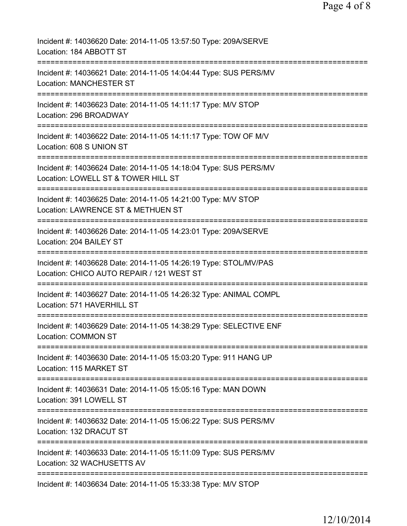| Incident #: 14036620 Date: 2014-11-05 13:57:50 Type: 209A/SERVE<br>Location: 184 ABBOTT ST                                                     |
|------------------------------------------------------------------------------------------------------------------------------------------------|
| Incident #: 14036621 Date: 2014-11-05 14:04:44 Type: SUS PERS/MV<br><b>Location: MANCHESTER ST</b>                                             |
| Incident #: 14036623 Date: 2014-11-05 14:11:17 Type: M/V STOP<br>Location: 296 BROADWAY                                                        |
| Incident #: 14036622 Date: 2014-11-05 14:11:17 Type: TOW OF M/V<br>Location: 608 S UNION ST                                                    |
| ===================================<br>Incident #: 14036624 Date: 2014-11-05 14:18:04 Type: SUS PERS/MV<br>Location: LOWELL ST & TOWER HILL ST |
| Incident #: 14036625 Date: 2014-11-05 14:21:00 Type: M/V STOP<br>Location: LAWRENCE ST & METHUEN ST                                            |
| Incident #: 14036626 Date: 2014-11-05 14:23:01 Type: 209A/SERVE<br>Location: 204 BAILEY ST                                                     |
| Incident #: 14036628 Date: 2014-11-05 14:26:19 Type: STOL/MV/PAS<br>Location: CHICO AUTO REPAIR / 121 WEST ST                                  |
| Incident #: 14036627 Date: 2014-11-05 14:26:32 Type: ANIMAL COMPL<br>Location: 571 HAVERHILL ST                                                |
| Incident #: 14036629 Date: 2014-11-05 14:38:29 Type: SELECTIVE ENF<br><b>Location: COMMON ST</b>                                               |
| Incident #: 14036630 Date: 2014-11-05 15:03:20 Type: 911 HANG UP<br>Location: 115 MARKET ST                                                    |
| Incident #: 14036631 Date: 2014-11-05 15:05:16 Type: MAN DOWN<br>Location: 391 LOWELL ST                                                       |
| Incident #: 14036632 Date: 2014-11-05 15:06:22 Type: SUS PERS/MV<br>Location: 132 DRACUT ST                                                    |
| Incident #: 14036633 Date: 2014-11-05 15:11:09 Type: SUS PERS/MV<br>Location: 32 WACHUSETTS AV                                                 |
| ==================<br>=================<br>Incident #: 14036634 Date: 2014-11-05 15:33:38 Type: M/V STOP                                       |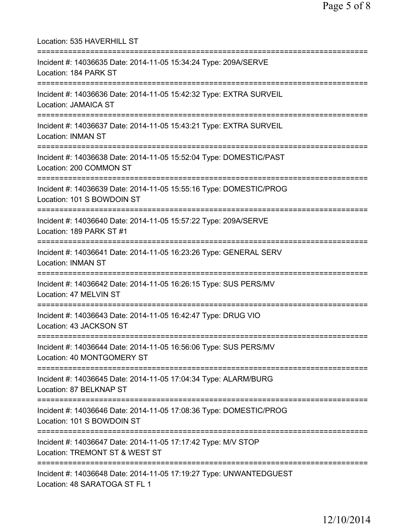| Location: 535 HAVERHILL ST                                                                                                               |
|------------------------------------------------------------------------------------------------------------------------------------------|
| Incident #: 14036635 Date: 2014-11-05 15:34:24 Type: 209A/SERVE<br>Location: 184 PARK ST                                                 |
| Incident #: 14036636 Date: 2014-11-05 15:42:32 Type: EXTRA SURVEIL<br><b>Location: JAMAICA ST</b>                                        |
| Incident #: 14036637 Date: 2014-11-05 15:43:21 Type: EXTRA SURVEIL<br><b>Location: INMAN ST</b>                                          |
| Incident #: 14036638 Date: 2014-11-05 15:52:04 Type: DOMESTIC/PAST<br>Location: 200 COMMON ST                                            |
| Incident #: 14036639 Date: 2014-11-05 15:55:16 Type: DOMESTIC/PROG<br>Location: 101 S BOWDOIN ST<br>;=================================== |
| Incident #: 14036640 Date: 2014-11-05 15:57:22 Type: 209A/SERVE<br>Location: 189 PARK ST #1                                              |
| Incident #: 14036641 Date: 2014-11-05 16:23:26 Type: GENERAL SERV<br><b>Location: INMAN ST</b><br>=======================                |
| Incident #: 14036642 Date: 2014-11-05 16:26:15 Type: SUS PERS/MV<br>Location: 47 MELVIN ST                                               |
| Incident #: 14036643 Date: 2014-11-05 16:42:47 Type: DRUG VIO<br>Location: 43 JACKSON ST                                                 |
| Incident #: 14036644 Date: 2014-11-05 16:56:06 Type: SUS PERS/MV<br>Location: 40 MONTGOMERY ST                                           |
| Incident #: 14036645 Date: 2014-11-05 17:04:34 Type: ALARM/BURG<br>Location: 87 BELKNAP ST                                               |
| Incident #: 14036646 Date: 2014-11-05 17:08:36 Type: DOMESTIC/PROG<br>Location: 101 S BOWDOIN ST                                         |
| Incident #: 14036647 Date: 2014-11-05 17:17:42 Type: M/V STOP<br>Location: TREMONT ST & WEST ST                                          |
| Incident #: 14036648 Date: 2014-11-05 17:19:27 Type: UNWANTEDGUEST<br>Location: 48 SARATOGA ST FL 1                                      |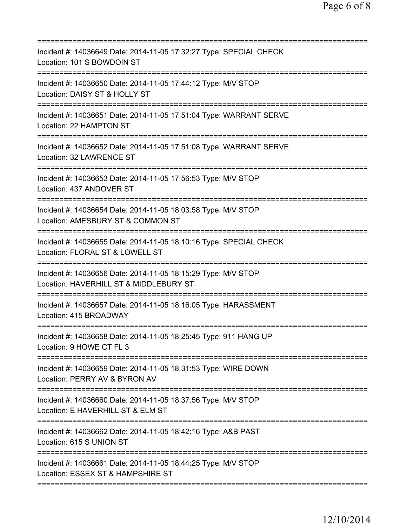| Incident #: 14036649 Date: 2014-11-05 17:32:27 Type: SPECIAL CHECK<br>Location: 101 S BOWDOIN ST                                       |
|----------------------------------------------------------------------------------------------------------------------------------------|
| Incident #: 14036650 Date: 2014-11-05 17:44:12 Type: M/V STOP<br>Location: DAISY ST & HOLLY ST                                         |
| Incident #: 14036651 Date: 2014-11-05 17:51:04 Type: WARRANT SERVE<br>Location: 22 HAMPTON ST                                          |
| Incident #: 14036652 Date: 2014-11-05 17:51:08 Type: WARRANT SERVE<br>Location: 32 LAWRENCE ST                                         |
| Incident #: 14036653 Date: 2014-11-05 17:56:53 Type: M/V STOP<br>Location: 437 ANDOVER ST                                              |
| Incident #: 14036654 Date: 2014-11-05 18:03:58 Type: M/V STOP<br>Location: AMESBURY ST & COMMON ST<br>============================     |
| Incident #: 14036655 Date: 2014-11-05 18:10:16 Type: SPECIAL CHECK<br>Location: FLORAL ST & LOWELL ST                                  |
| Incident #: 14036656 Date: 2014-11-05 18:15:29 Type: M/V STOP<br>Location: HAVERHILL ST & MIDDLEBURY ST                                |
| Incident #: 14036657 Date: 2014-11-05 18:16:05 Type: HARASSMENT<br>Location: 415 BROADWAY                                              |
| Incident #: 14036658 Date: 2014-11-05 18:25:45 Type: 911 HANG UP<br>Location: 9 HOWE CT FL 3                                           |
| ;==================================<br>Incident #: 14036659 Date: 2014-11-05 18:31:53 Type: WIRE DOWN<br>Location: PERRY AV & BYRON AV |
| Incident #: 14036660 Date: 2014-11-05 18:37:56 Type: M/V STOP<br>Location: E HAVERHILL ST & ELM ST                                     |
| Incident #: 14036662 Date: 2014-11-05 18:42:16 Type: A&B PAST<br>Location: 615 S UNION ST                                              |
| Incident #: 14036661 Date: 2014-11-05 18:44:25 Type: M/V STOP<br>Location: ESSEX ST & HAMPSHIRE ST                                     |
|                                                                                                                                        |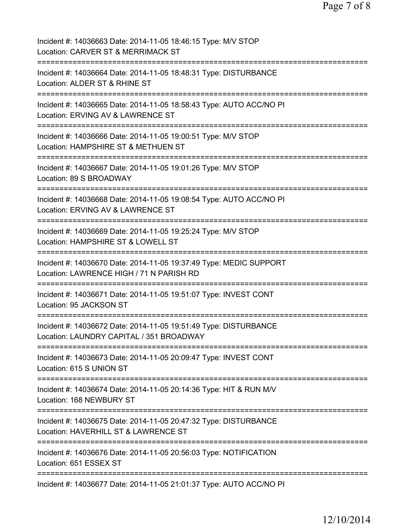| Incident #: 14036663 Date: 2014-11-05 18:46:15 Type: M/V STOP<br>Location: CARVER ST & MERRIMACK ST                                  |
|--------------------------------------------------------------------------------------------------------------------------------------|
| Incident #: 14036664 Date: 2014-11-05 18:48:31 Type: DISTURBANCE<br>Location: ALDER ST & RHINE ST                                    |
| Incident #: 14036665 Date: 2014-11-05 18:58:43 Type: AUTO ACC/NO PI<br>Location: ERVING AV & LAWRENCE ST                             |
| Incident #: 14036666 Date: 2014-11-05 19:00:51 Type: M/V STOP<br>Location: HAMPSHIRE ST & METHUEN ST                                 |
| Incident #: 14036667 Date: 2014-11-05 19:01:26 Type: M/V STOP<br>Location: 89 S BROADWAY                                             |
| Incident #: 14036668 Date: 2014-11-05 19:08:54 Type: AUTO ACC/NO PI<br>Location: ERVING AV & LAWRENCE ST<br>====================     |
| Incident #: 14036669 Date: 2014-11-05 19:25:24 Type: M/V STOP<br>Location: HAMPSHIRE ST & LOWELL ST<br>===========                   |
| Incident #: 14036670 Date: 2014-11-05 19:37:49 Type: MEDIC SUPPORT<br>Location: LAWRENCE HIGH / 71 N PARISH RD                       |
| Incident #: 14036671 Date: 2014-11-05 19:51:07 Type: INVEST CONT<br>Location: 95 JACKSON ST                                          |
| Incident #: 14036672 Date: 2014-11-05 19:51:49 Type: DISTURBANCE<br>Location: LAUNDRY CAPITAL / 351 BROADWAY                         |
| Incident #: 14036673 Date: 2014-11-05 20:09:47 Type: INVEST CONT<br>Location: 615 S UNION ST                                         |
| Incident #: 14036674 Date: 2014-11-05 20:14:36 Type: HIT & RUN M/V<br>Location: 168 NEWBURY ST                                       |
| Incident #: 14036675 Date: 2014-11-05 20:47:32 Type: DISTURBANCE<br>Location: HAVERHILL ST & LAWRENCE ST<br>=====================    |
| Incident #: 14036676 Date: 2014-11-05 20:56:03 Type: NOTIFICATION<br>Location: 651 ESSEX ST<br>===================================== |
| Incident #: 14036677 Date: 2014-11-05 21:01:37 Type: AUTO ACC/NO PI                                                                  |